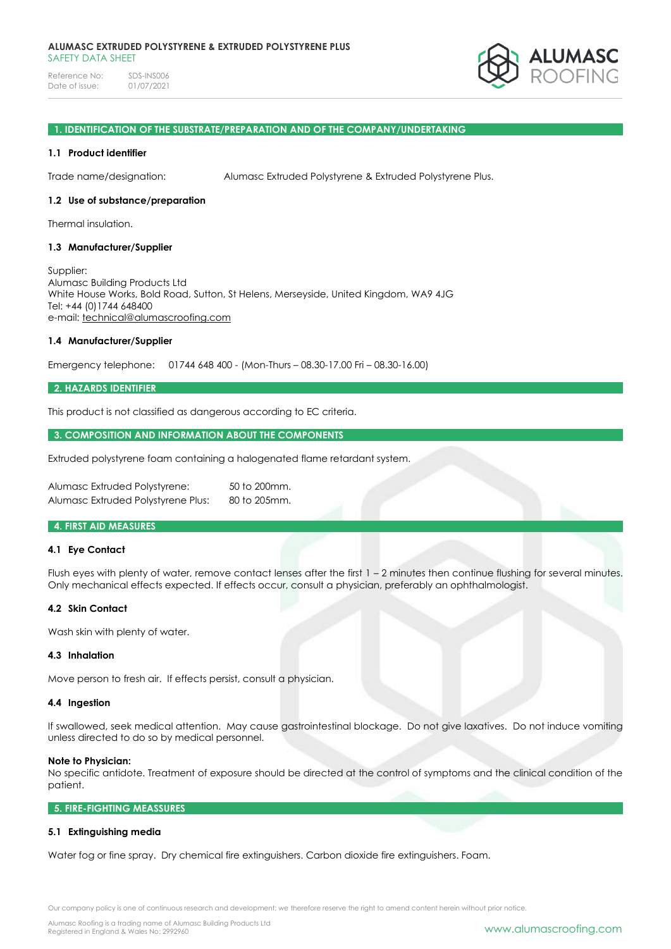Reference No: SDS-INS006<br>Date of issue: 01/07/2021 Date of issue:



#### **1. IDENTIFICATION OF THE SUBSTRATE/PREPARATION AND OF THE COMPANY/UNDERTAKING**

#### **1.1 Product identifier**

Trade name/designation: Alumasc Extruded Polystyrene & Extruded Polystyrene Plus.

#### **1.2 Use of substance/preparation**

Thermal insulation.

### **1.3 Manufacturer/Supplier**

Supplier: Alumasc Building Products Ltd White House Works, Bold Road, Sutton, St Helens, Merseyside, United Kingdom, WA9 4JG Tel: +44 (0)1744 648400 e-mail: [technical@alumascroofing.com](mailto:technical@alumascroofing.com)

### **1.4 Manufacturer/Supplier**

Emergency telephone: 01744 648 400 - (Mon-Thurs – 08.30-17.00 Fri – 08.30-16.00)

#### **2. HAZARDS IDENTIFIER**

This product is not classified as dangerous according to EC criteria.

#### **3. COMPOSITION AND INFORMATION ABOUT THE COMPONENTS**

Extruded polystyrene foam containing a halogenated flame retardant system.

| Alumasc Extruded Polystyrene:      | 50 to 200mm. |
|------------------------------------|--------------|
| Alumasc Extruded Polystyrene Plus: | 80 to 205mm. |

### **4. FIRST AID MEASURES**

#### **4.1 Eye Contact**

Flush eyes with plenty of water, remove contact lenses after the first 1 – 2 minutes then continue flushing for several minutes. Only mechanical effects expected. If effects occur, consult a physician, preferably an ophthalmologist.

#### **4.2 Skin Contact**

Wash skin with plenty of water.

#### **4.3 Inhalation**

Move person to fresh air. If effects persist, consult a physician.

#### **4.4 Ingestion**

If swallowed, seek medical attention. May cause gastrointestinal blockage. Do not give laxatives. Do not induce vomiting unless directed to do so by medical personnel.

#### **Note to Physician:**

No specific antidote. Treatment of exposure should be directed at the control of symptoms and the clinical condition of the patient.

### **5. FIRE-FIGHTING MEASSURES**

# **5.1 Extinguishing media**

Water fog or fine spray. Dry chemical fire extinguishers. Carbon dioxide fire extinguishers. Foam.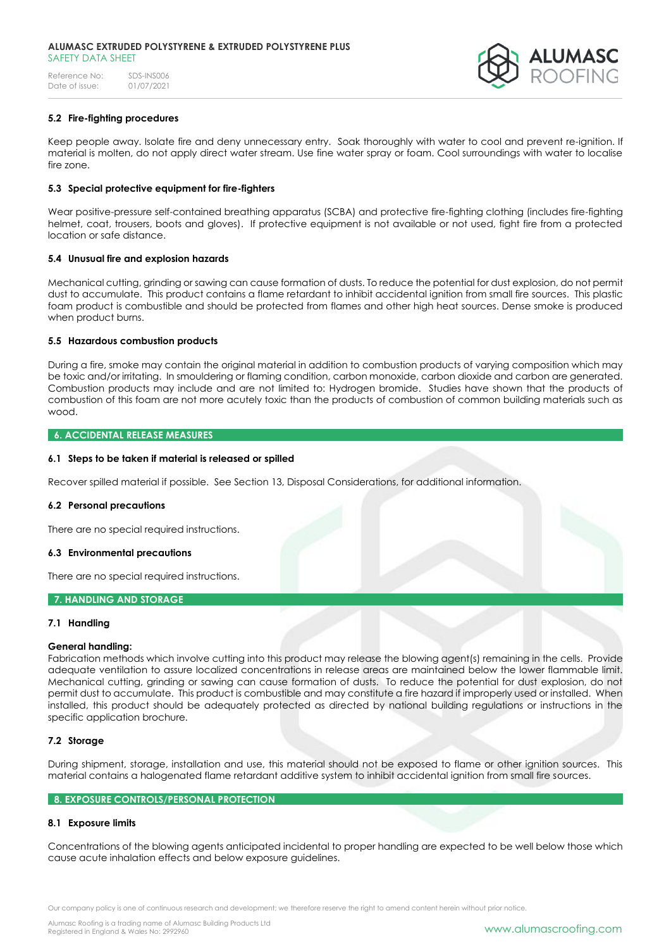Reference No: SDS-INS006<br>Date of issue: 01/07/2021 Date of issue:



# **5.2 Fire-fighting procedures**

Keep people away. Isolate fire and deny unnecessary entry. Soak thoroughly with water to cool and prevent re-ignition. If material is molten, do not apply direct water stream. Use fine water spray or foam. Cool surroundings with water to localise fire zone.

### **5.3 Special protective equipment for fire-fighters**

Wear positive-pressure self-contained breathing apparatus (SCBA) and protective fire-fighting clothing (includes fire-fighting helmet, coat, trousers, boots and gloves). If protective equipment is not available or not used, fight fire from a protected location or safe distance.

### **5.4 Unusual fire and explosion hazards**

Mechanical cutting, grinding or sawing can cause formation of dusts. To reduce the potential for dust explosion, do not permit dust to accumulate. This product contains a flame retardant to inhibit accidental ignition from small fire sources. This plastic foam product is combustible and should be protected from flames and other high heat sources. Dense smoke is produced when product burns.

#### **5.5 Hazardous combustion products**

During a fire, smoke may contain the original material in addition to combustion products of varying composition which may be toxic and/or irritating. In smouldering or flaming condition, carbon monoxide, carbon dioxide and carbon are generated. Combustion products may include and are not limited to: Hydrogen bromide. Studies have shown that the products of combustion of this foam are not more acutely toxic than the products of combustion of common building materials such as wood.

### **6. ACCIDENTAL RELEASE MEASURES**

#### **6.1 Steps to be taken if material is released or spilled**

Recover spilled material if possible. See Section 13, Disposal Considerations, for additional information.

#### **6.2 Personal precautions**

There are no special required instructions.

#### **6.3 Environmental precautions**

There are no special required instructions.

### **7. HANDLING AND STORAGE**

### **7.1 Handling**

### **General handling:**

Fabrication methods which involve cutting into this product may release the blowing agent(s) remaining in the cells. Provide adequate ventilation to assure localized concentrations in release areas are maintained below the lower flammable limit. Mechanical cutting, grinding or sawing can cause formation of dusts. To reduce the potential for dust explosion, do not permit dust to accumulate. This product is combustible and may constitute a fire hazard if improperly used or installed. When installed, this product should be adequately protected as directed by national building regulations or instructions in the specific application brochure.

# **7.2 Storage**

During shipment, storage, installation and use, this material should not be exposed to flame or other ignition sources. This material contains a halogenated flame retardant additive system to inhibit accidental ignition from small fire sources.

#### **8. EXPOSURE CONTROLS/PERSONAL PROTECTION**

### **8.1 Exposure limits**

Concentrations of the blowing agents anticipated incidental to proper handling are expected to be well below those which cause acute inhalation effects and below exposure guidelines.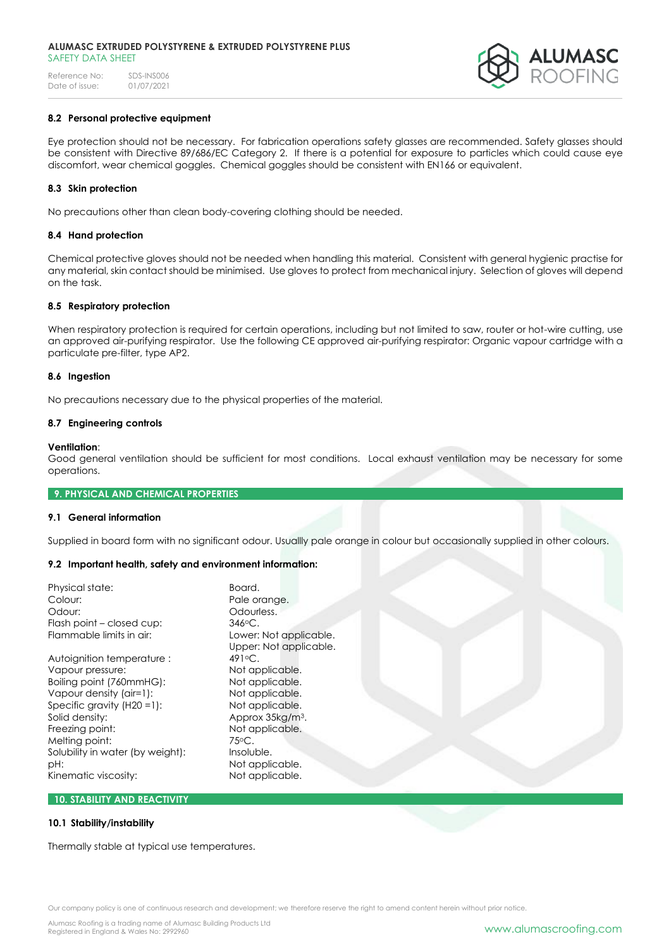Reference No: SDS-INS006<br>Date of issue: 01/07/2021 Date of issue:



# **8.2 Personal protective equipment**

Eye protection should not be necessary. For fabrication operations safety glasses are recommended. Safety glasses should be consistent with Directive 89/686/EC Category 2. If there is a potential for exposure to particles which could cause eye discomfort, wear chemical goggles. Chemical goggles should be consistent with EN166 or equivalent.

# **8.3 Skin protection**

No precautions other than clean body-covering clothing should be needed.

### **8.4 Hand protection**

Chemical protective gloves should not be needed when handling this material. Consistent with general hygienic practise for any material, skin contact should be minimised. Use gloves to protect from mechanical injury. Selection of gloves will depend on the task.

### **8.5 Respiratory protection**

When respiratory protection is required for certain operations, including but not limited to saw, router or hot-wire cutting, use an approved air-purifying respirator. Use the following CE approved air-purifying respirator: Organic vapour cartridge with a particulate pre-filter, type AP2.

#### **8.6 Ingestion**

No precautions necessary due to the physical properties of the material.

### **8.7 Engineering controls**

### **Ventilation**:

Good general ventilation should be sufficient for most conditions. Local exhaust ventilation may be necessary for some operations.

### **9. PHYSICAL AND CHEMICAL PROPERTIES**

# **9.1 General information**

Supplied in board form with no significant odour. Usuallly pale orange in colour but occasionally supplied in other colours.

### **9.2 Important health, safety and environment information:**

| Physical state:                  | Board.                       |  |
|----------------------------------|------------------------------|--|
| Colour:                          | Pale orange.                 |  |
| Odour:                           | Odourless.                   |  |
| Flash point - closed cup:        | $346$ °C.                    |  |
| Flammable limits in air:         | Lower: Not applicable.       |  |
|                                  | Upper: Not applicable.       |  |
| Autoignition temperature:        | $491^\circ$ C.               |  |
| Vapour pressure:                 | Not applicable.              |  |
| Boiling point (760mmHG):         | Not applicable.              |  |
| Vapour density (air=1):          | Not applicable.              |  |
| Specific gravity $(H20 = 1)$ :   | Not applicable.              |  |
| Solid density:                   | Approx 35kg/m <sup>3</sup> . |  |
| Freezing point:                  | Not applicable.              |  |
| Melting point:                   | 75°C.                        |  |
| Solubility in water (by weight): | Insoluble.                   |  |
| pH:                              | Not applicable.              |  |
| Kinematic viscosity:             | Not applicable.              |  |
|                                  |                              |  |

# **10. STABILITY AND REACTIVITY**

### **10.1 Stability/instability**

Thermally stable at typical use temperatures.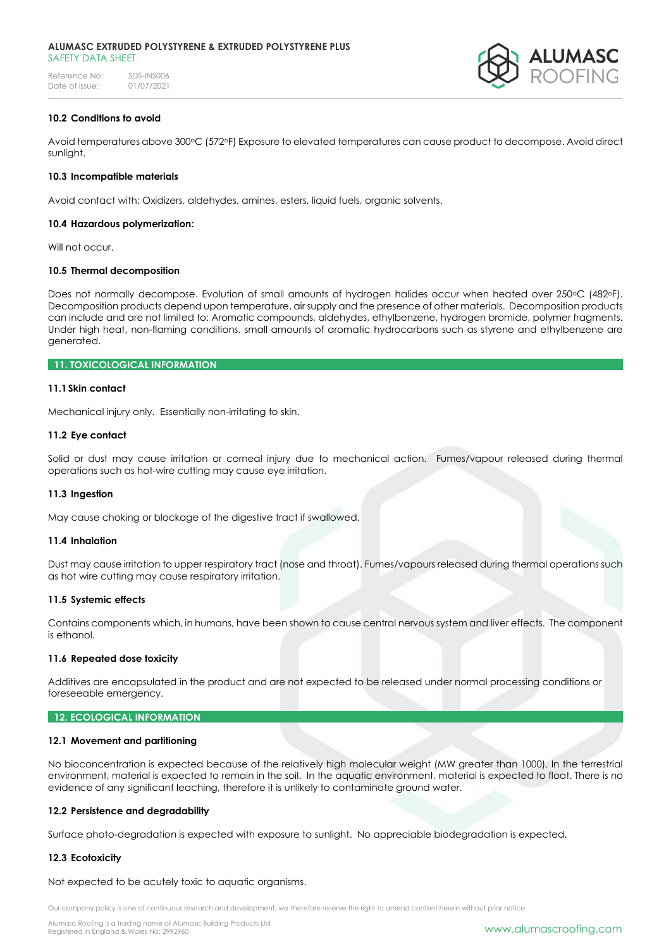#### **ALUMASC EXTRUDED POLYSTYRENE & EXTRUDED POLYSTYRENE PLUS** SAFFTY DATA SHFFT

Reference No: SDS-INS006<br>Date of issue: 01/07/2021 Date of issue:



# **10.2 Conditions to avoid**

Avoid temperatures above 300oC (572oF) Exposure to elevated temperatures can cause product to decompose. Avoid direct sunlight.

### **10.3 Incompatible materials**

Avoid contact with: Oxidizers, aldehydes, amines, esters, liquid fuels, organic solvents.

### **10.4 Hazardous polymerization:**

Will not occur.

# **10.5 Thermal decomposition**

Does not normally decompose. Evolution of small amounts of hydrogen halides occur when heated over 250°C (482°F). Decomposition products depend upon temperature, air supply and the presence of other materials. Decomposition products can include and are not limited to: Aromatic compounds, aldehydes, ethylbenzene, hydrogen bromide, polymer fragments. Under high heat, non-flaming conditions, small amounts of aromatic hydrocarbons such as styrene and ethylbenzene are generated.

# **11. TOXICOLOGICAL INFORMATION**

#### **11.1Skin contact**

Mechanical injury only. Essentially non-irritating to skin.

#### **11.2 Eye contact**

Solid or dust may cause irritation or corneal injury due to mechanical action. Fumes/vapour released during thermal operations such as hot-wire cutting may cause eye irritation.

### **11.3 Ingestion**

May cause choking or blockage of the digestive tract if swallowed.

### **11.4 Inhalation**

Dust may cause irritation to upper respiratory tract (nose and throat). Fumes/vapours released during thermal operations such as hot wire cutting may cause respiratory irritation.

### **11.5 Systemic effects**

Contains components which, in humans, have been shown to cause central nervous system and liver effects. The component is ethanol.

#### **11.6 Repeated dose toxicity**

Additives are encapsulated in the product and are not expected to be released under normal processing conditions or foreseeable emergency.

#### **12. ECOLOGICAL INFORMATION**

### **12.1 Movement and partitioning**

No bioconcentration is expected because of the relatively high molecular weight (MW greater than 1000). In the terrestrial environment, material is expected to remain in the soil. In the aquatic environment, material is expected to float. There is no evidence of any significant leaching, therefore it is unlikely to contaminate ground water.

#### **12.2 Persistence and degradability**

Surface photo-degradation is expected with exposure to sunlight. No appreciable biodegradation is expected.

### **12.3 Ecotoxicity**

Not expected to be acutely toxic to aquatic organisms.